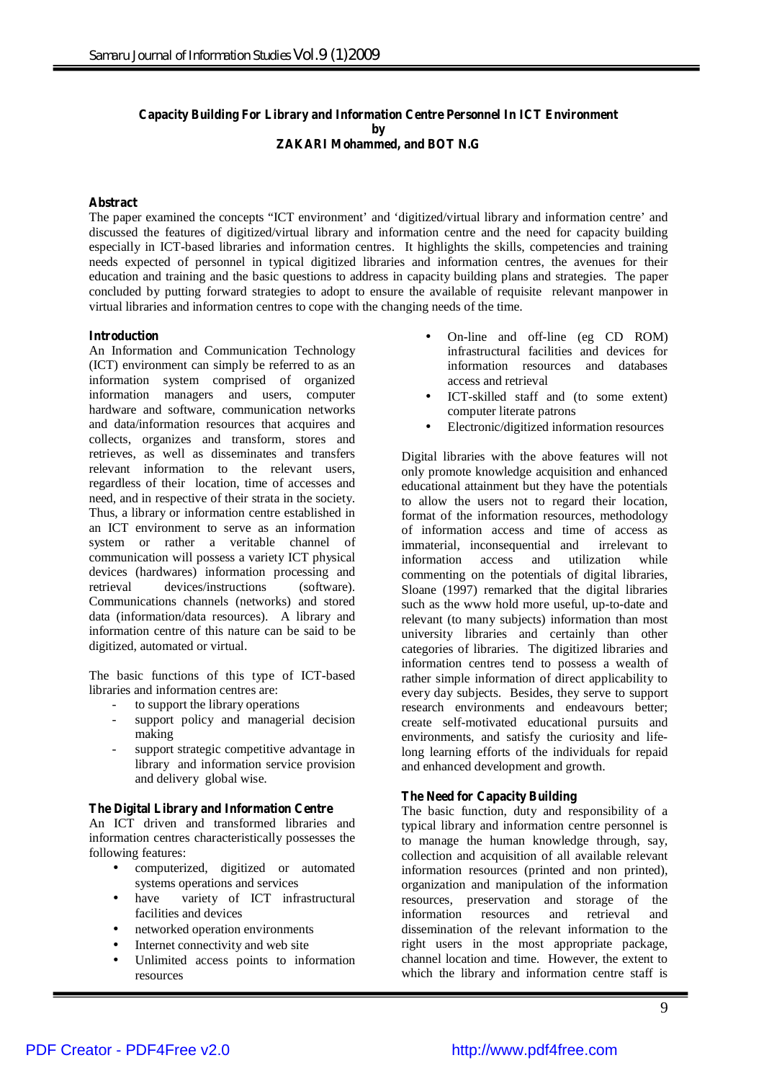#### **Capacity Building For Library and Information Centre Personnel In ICT Environment by ZAKARI Mohammed, and BOT N.G**

## **Abstract**

The paper examined the concepts "ICT environment' and 'digitized/virtual library and information centre' and discussed the features of digitized/virtual library and information centre and the need for capacity building especially in ICT-based libraries and information centres. It highlights the skills, competencies and training needs expected of personnel in typical digitized libraries and information centres, the avenues for their education and training and the basic questions to address in capacity building plans and strategies. The paper concluded by putting forward strategies to adopt to ensure the available of requisite relevant manpower in virtual libraries and information centres to cope with the changing needs of the time.

## **Introduction**

An Information and Communication Technology (ICT) environment can simply be referred to as an information system comprised of organized information managers and users, computer hardware and software, communication networks and data/information resources that acquires and collects, organizes and transform, stores and retrieves, as well as disseminates and transfers relevant information to the relevant users, regardless of their location, time of accesses and need, and in respective of their strata in the society. Thus, a library or information centre established in an ICT environment to serve as an information system or rather a veritable channel of communication will possess a variety ICT physical devices (hardwares) information processing and<br>retrieval devices/instructions (software). devices/instructions (software). Communications channels (networks) and stored data (information/data resources). A library and information centre of this nature can be said to be digitized, automated or virtual.

The basic functions of this type of ICT-based libraries and information centres are:

- to support the library operations
- support policy and managerial decision making
- support strategic competitive advantage in library and information service provision and delivery global wise.

## **The Digital Library and Information Centre**

An ICT driven and transformed libraries and information centres characteristically possesses the following features:

- computerized, digitized or automated systems operations and services
- have variety of ICT infrastructural facilities and devices
- networked operation environments
- Internet connectivity and web site
- Unlimited access points to information resources
- On-line and off-line (eg CD ROM) infrastructural facilities and devices for information resources and databases access and retrieval
- ICT-skilled staff and (to some extent) computer literate patrons
- Electronic/digitized information resources

Digital libraries with the above features will not only promote knowledge acquisition and enhanced educational attainment but they have the potentials to allow the users not to regard their location, format of the information resources, methodology of information access and time of access as immaterial, inconsequential and irrelevant to information access and utilization while commenting on the potentials of digital libraries, Sloane (1997) remarked that the digital libraries such as the www hold more useful, up-to-date and relevant (to many subjects) information than most university libraries and certainly than other categories of libraries. The digitized libraries and information centres tend to possess a wealth of rather simple information of direct applicability to every day subjects. Besides, they serve to support research environments and endeavours better; create self-motivated educational pursuits and environments, and satisfy the curiosity and lifelong learning efforts of the individuals for repaid and enhanced development and growth.

## **The Need for Capacity Building**

The basic function, duty and responsibility of a typical library and information centre personnel is to manage the human knowledge through, say, collection and acquisition of all available relevant information resources (printed and non printed), organization and manipulation of the information resources, preservation and storage of the information resources and retrieval and dissemination of the relevant information to the right users in the most appropriate package, channel location and time. However, the extent to which the library and information centre staff is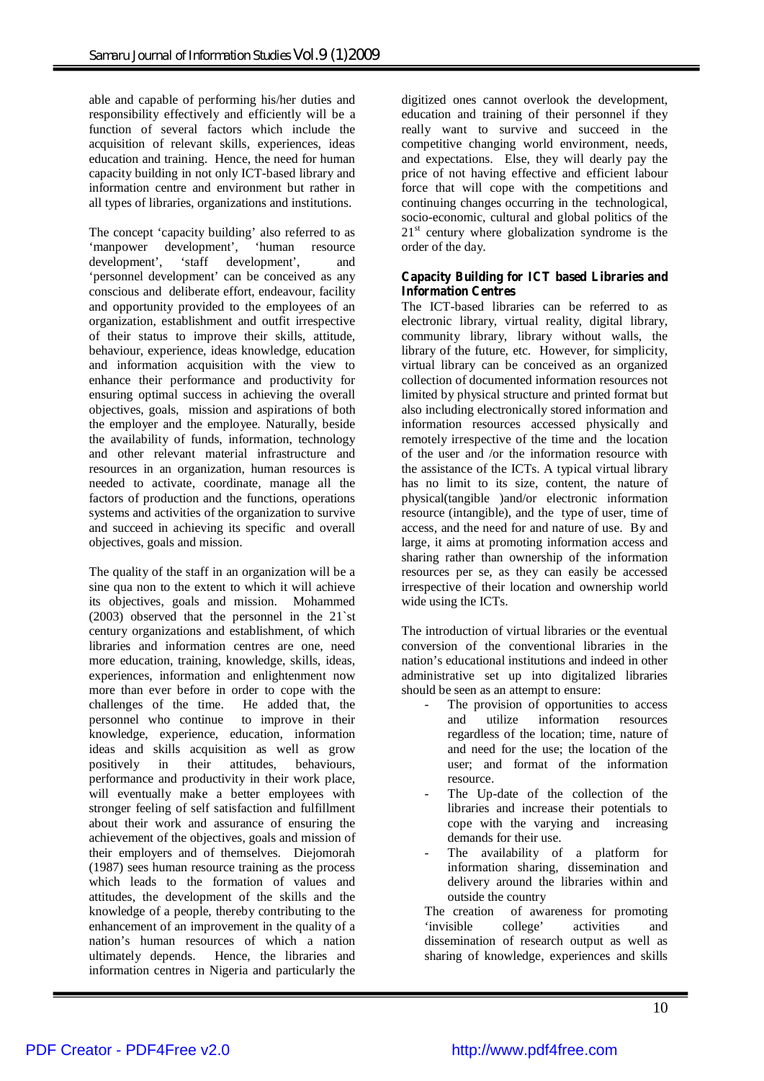able and capable of performing his/her duties and responsibility effectively and efficiently will be a function of several factors which include the acquisition of relevant skills, experiences, ideas education and training. Hence, the need for human capacity building in not only ICT-based library and information centre and environment but rather in all types of libraries, organizations and institutions.

The concept 'capacity building' also referred to as 'manpower development', 'human resource<br>development', 'staff development', and 'staff development', and 'personnel development' can be conceived as any conscious and deliberate effort, endeavour, facility and opportunity provided to the employees of an organization, establishment and outfit irrespective of their status to improve their skills, attitude, behaviour, experience, ideas knowledge, education and information acquisition with the view to enhance their performance and productivity for ensuring optimal success in achieving the overall objectives, goals, mission and aspirations of both the employer and the employee. Naturally, beside the availability of funds, information, technology and other relevant material infrastructure and resources in an organization, human resources is needed to activate, coordinate, manage all the factors of production and the functions, operations systems and activities of the organization to survive and succeed in achieving its specific and overall objectives, goals and mission.

The quality of the staff in an organization will be a sine qua non to the extent to which it will achieve its objectives, goals and mission. Mohammed (2003) observed that the personnel in the 21`st century organizations and establishment, of which libraries and information centres are one, need more education, training, knowledge, skills, ideas, experiences, information and enlightenment now more than ever before in order to cope with the challenges of the time. He added that, the personnel who continue to improve in their knowledge, experience, education, information ideas and skills acquisition as well as grow positively in their attitudes, behaviours, performance and productivity in their work place, will eventually make a better employees with stronger feeling of self satisfaction and fulfillment about their work and assurance of ensuring the achievement of the objectives, goals and mission of their employers and of themselves. Diejomorah (1987) sees human resource training as the process which leads to the formation of values and attitudes, the development of the skills and the knowledge of a people, thereby contributing to the enhancement of an improvement in the quality of a nation's human resources of which a nation ultimately depends. Hence, the libraries and information centres in Nigeria and particularly the

digitized ones cannot overlook the development, education and training of their personnel if they really want to survive and succeed in the competitive changing world environment, needs, and expectations. Else, they will dearly pay the price of not having effective and efficient labour force that will cope with the competitions and continuing changes occurring in the technological, socio-economic, cultural and global politics of the 21<sup>st</sup> century where globalization syndrome is the order of the day.

# **Capacity Building for ICT based Libraries and Information Centres**

The ICT-based libraries can be referred to as electronic library, virtual reality, digital library, community library, library without walls, the library of the future, etc. However, for simplicity, virtual library can be conceived as an organized collection of documented information resources not limited by physical structure and printed format but also including electronically stored information and information resources accessed physically and remotely irrespective of the time and the location of the user and /or the information resource with the assistance of the ICTs. A typical virtual library has no limit to its size, content, the nature of physical(tangible )and/or electronic information resource (intangible), and the type of user, time of access, and the need for and nature of use. By and large, it aims at promoting information access and sharing rather than ownership of the information resources per se, as they can easily be accessed irrespective of their location and ownership world wide using the ICTs.

The introduction of virtual libraries or the eventual conversion of the conventional libraries in the nation's educational institutions and indeed in other administrative set up into digitalized libraries should be seen as an attempt to ensure:

- The provision of opportunities to access and utilize information resources regardless of the location; time, nature of and need for the use; the location of the user; and format of the information resource.
- The Up-date of the collection of the libraries and increase their potentials to cope with the varying and increasing demands for their use.
- The availability of a platform for information sharing, dissemination and delivery around the libraries within and outside the country<br>The creation of awa

of awareness for promoting 'invisible college' activities and dissemination of research output as well as sharing of knowledge, experiences and skills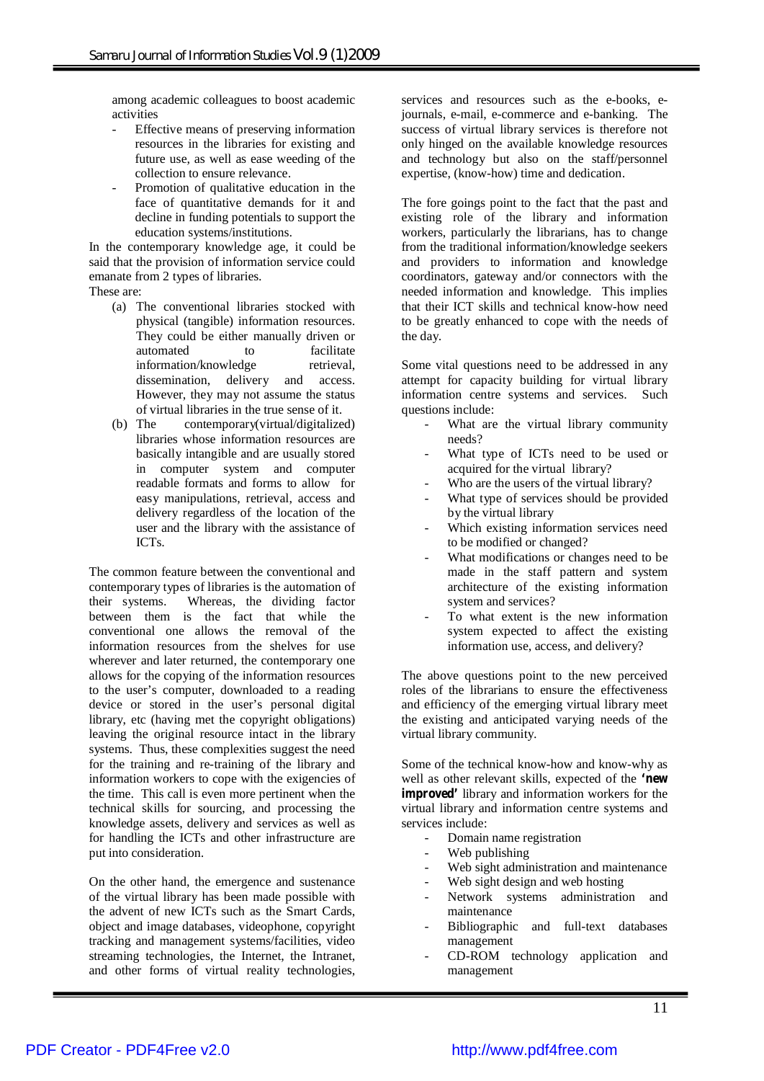among academic colleagues to boost academic activities

- Effective means of preserving information resources in the libraries for existing and future use, as well as ease weeding of the collection to ensure relevance.
- Promotion of qualitative education in the face of quantitative demands for it and decline in funding potentials to support the education systems/institutions.

In the contemporary knowledge age, it could be said that the provision of information service could emanate from 2 types of libraries. These are:

- (a) The conventional libraries stocked with physical (tangible) information resources. They could be either manually driven or automated to facilitate information/knowledge retrieval, dissemination, delivery and access. However, they may not assume the status of virtual libraries in the true sense of it.
- (b) The contemporary(virtual/digitalized) libraries whose information resources are basically intangible and are usually stored in computer system and computer readable formats and forms to allow for easy manipulations, retrieval, access and delivery regardless of the location of the user and the library with the assistance of ICTs.

The common feature between the conventional and contemporary types of libraries is the automation of their systems. Whereas, the dividing factor between them is the fact that while the conventional one allows the removal of the information resources from the shelves for use wherever and later returned, the contemporary one allows for the copying of the information resources to the user's computer, downloaded to a reading device or stored in the user's personal digital library, etc (having met the copyright obligations) leaving the original resource intact in the library systems. Thus, these complexities suggest the need for the training and re-training of the library and information workers to cope with the exigencies of the time. This call is even more pertinent when the technical skills for sourcing, and processing the knowledge assets, delivery and services as well as for handling the ICTs and other infrastructure are put into consideration.

On the other hand, the emergence and sustenance of the virtual library has been made possible with the advent of new ICTs such as the Smart Cards, object and image databases, videophone, copyright tracking and management systems/facilities, video streaming technologies, the Internet, the Intranet, and other forms of virtual reality technologies,

services and resources such as the e-books, ejournals, e-mail, e-commerce and e-banking. The success of virtual library services is therefore not only hinged on the available knowledge resources and technology but also on the staff/personnel expertise, (know-how) time and dedication.

The fore goings point to the fact that the past and existing role of the library and information workers, particularly the librarians, has to change from the traditional information/knowledge seekers and providers to information and knowledge coordinators, gateway and/or connectors with the needed information and knowledge. This implies that their ICT skills and technical know-how need to be greatly enhanced to cope with the needs of the day.

Some vital questions need to be addressed in any attempt for capacity building for virtual library information centre systems and services. Such questions include:

- What are the virtual library community needs?
- What type of ICTs need to be used or acquired for the virtual library?
- Who are the users of the virtual library?
- What type of services should be provided by the virtual library
- Which existing information services need to be modified or changed?
- What modifications or changes need to be made in the staff pattern and system architecture of the existing information system and services?
- To what extent is the new information system expected to affect the existing information use, access, and delivery?

The above questions point to the new perceived roles of the librarians to ensure the effectiveness and efficiency of the emerging virtual library meet the existing and anticipated varying needs of the virtual library community.

Some of the technical know-how and know-why as well as other relevant skills, expected of the **'new improved'** library and information workers for the virtual library and information centre systems and services include:

- Domain name registration
- Web publishing
- Web sight administration and maintenance
- Web sight design and web hosting
- Network systems administration and maintenance
- Bibliographic and full-text databases management
- CD-ROM technology application and management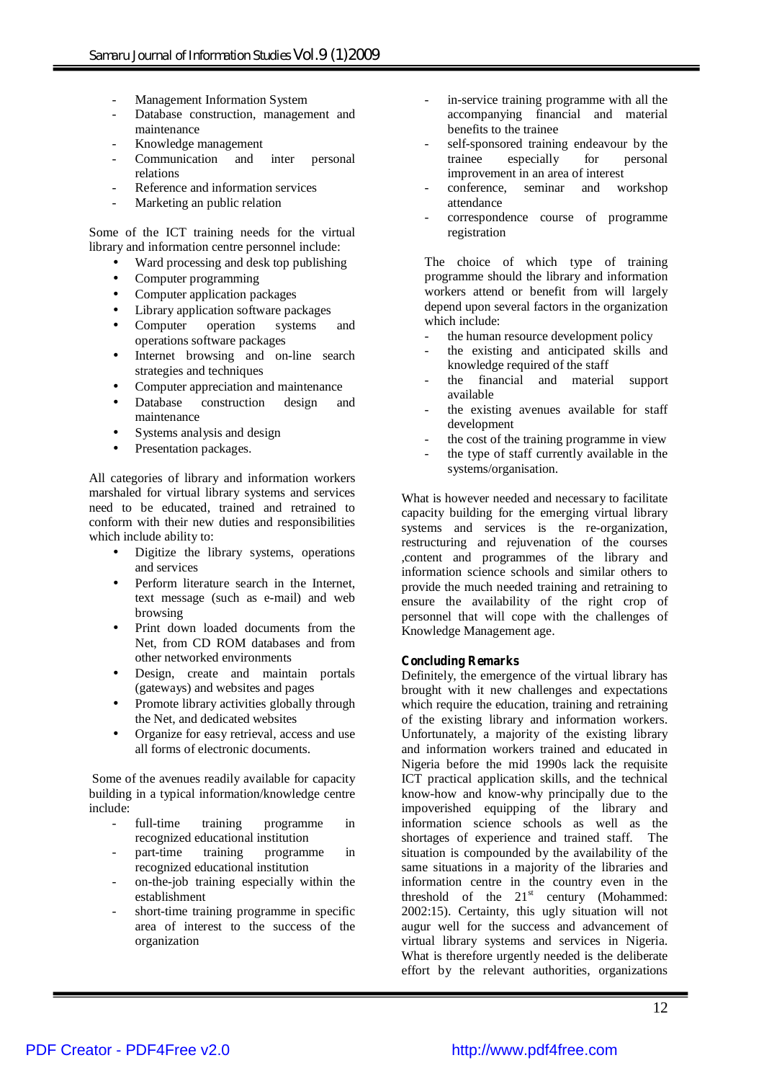- Management Information System
- Database construction, management and maintenance
- Knowledge management
- Communication and inter personal relations
- Reference and information services
- Marketing an public relation

Some of the ICT training needs for the virtual library and information centre personnel include:

- Ward processing and desk top publishing
- Computer programming
- Computer application packages
- Library application software packages
- Computer operation systems and operations software packages
- Internet browsing and on-line search strategies and techniques
- Computer appreciation and maintenance
- Database construction design and maintenance
- Systems analysis and design
- Presentation packages.

All categories of library and information workers marshaled for virtual library systems and services need to be educated, trained and retrained to conform with their new duties and responsibilities which include ability to:

- Digitize the library systems, operations and services
- Perform literature search in the Internet, text message (such as e-mail) and web browsing
- Print down loaded documents from the Net, from CD ROM databases and from other networked environments
- Design, create and maintain portals (gateways) and websites and pages
- Promote library activities globally through the Net, and dedicated websites
- Organize for easy retrieval, access and use all forms of electronic documents.

Some of the avenues readily available for capacity building in a typical information/knowledge centre include:

- full-time training programme in recognized educational institution<br>part-time training program
- programme in recognized educational institution
- on-the-job training especially within the establishment
- short-time training programme in specific area of interest to the success of the organization
- in-service training programme with all the accompanying financial and material benefits to the trainee
- self-sponsored training endeavour by the trainee especially for personal improvement in an area of interest<br>conference, seminar and workshop
- conference, seminar attendance
- correspondence course of programme registration

The choice of which type of training programme should the library and information workers attend or benefit from will largely depend upon several factors in the organization which include:

- the human resource development policy
- the existing and anticipated skills and knowledge required of the staff
- the financial and material support available
- the existing avenues available for staff development
- the cost of the training programme in view
- the type of staff currently available in the systems/organisation.

What is however needed and necessary to facilitate capacity building for the emerging virtual library systems and services is the re-organization, restructuring and rejuvenation of the courses ,content and programmes of the library and information science schools and similar others to provide the much needed training and retraining to ensure the availability of the right crop of personnel that will cope with the challenges of Knowledge Management age.

## **Concluding Remarks**

Definitely, the emergence of the virtual library has brought with it new challenges and expectations which require the education, training and retraining of the existing library and information workers. Unfortunately, a majority of the existing library and information workers trained and educated in Nigeria before the mid 1990s lack the requisite ICT practical application skills, and the technical know-how and know-why principally due to the impoverished equipping of the library and information science schools as well as the shortages of experience and trained staff. The situation is compounded by the availability of the same situations in a majority of the libraries and information centre in the country even in the threshold of the  $21<sup>st</sup>$  century (Mohammed: 2002:15). Certainty, this ugly situation will not augur well for the success and advancement of virtual library systems and services in Nigeria. What is therefore urgently needed is the deliberate effort by the relevant authorities, organizations